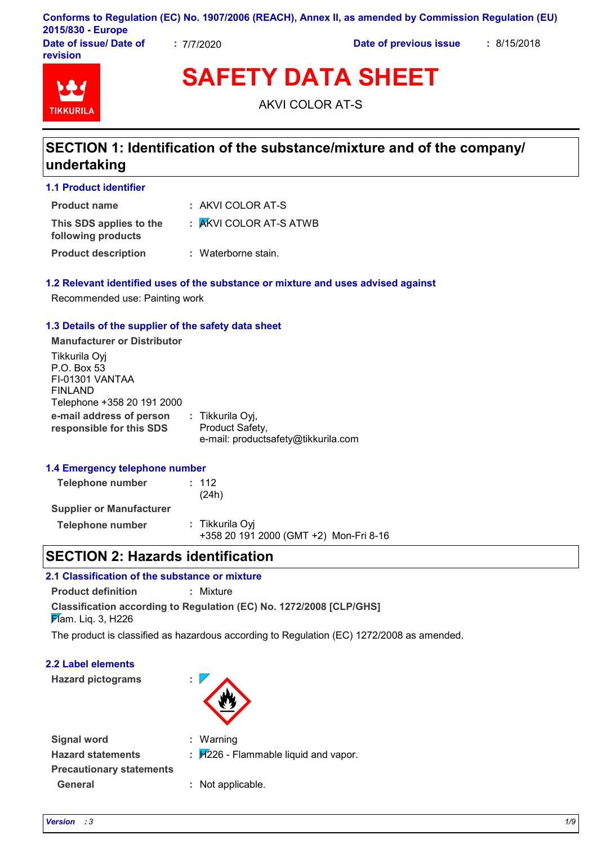|                        |          | Conforms to Regulation (EC) No. 1907/2006 (REACH), Annex II, as amended by Commission Regulation (EU) |             |  |
|------------------------|----------|-------------------------------------------------------------------------------------------------------|-------------|--|
| 2015/830 - Europe      |          |                                                                                                       |             |  |
| Date of issue/ Date of | 7/7/2020 | Date of previous issue                                                                                | : 8/15/2018 |  |

**Date of issue/ Date of revision**



**SAFETY DATA SHEET**

AKVI COLOR AT-S

# **SECTION 1: Identification of the substance/mixture and of the company/ undertaking**

| <b>1.1 Product identifier</b>                 |                        |
|-----------------------------------------------|------------------------|
| <b>Product name</b>                           | : AKVI COLOR AT-S      |
| This SDS applies to the<br>following products | : AKVI COLOR AT-S ATWB |
| <b>Product description</b>                    | : Waterborne stain.    |

### **1.2 Relevant identified uses of the substance or mixture and uses advised against**

Recommended use: Painting work

### **1.3 Details of the supplier of the safety data sheet**

**Manufacturer or Distributor** Tikkurila Oyj

| TINNUTILE OVI                                        |                                     |  |
|------------------------------------------------------|-------------------------------------|--|
| P.O. Box 53                                          |                                     |  |
| FI-01301 VANTAA                                      |                                     |  |
| <b>FINLAND</b>                                       |                                     |  |
| Telephone +358 20 191 2000                           |                                     |  |
| e-mail address of person<br>responsible for this SDS | : Tikkurila Oyj,<br>Product Safety, |  |
|                                                      | e-mail: productsafety@tikkurila.com |  |
|                                                      |                                     |  |

### **1.4 Emergency telephone number**

| <b>Telephone number</b>         | : 112<br>(24h)                                            |  |
|---------------------------------|-----------------------------------------------------------|--|
| <b>Supplier or Manufacturer</b> |                                                           |  |
| <b>Telephone number</b>         | : Tikkurila Oyi<br>+358 20 191 2000 (GMT +2) Mon-Fri 8-16 |  |

### **SECTION 2: Hazards identification**

| 2.1 Classification of the substance or mixture |                                                                     |  |  |
|------------------------------------------------|---------------------------------------------------------------------|--|--|
| <b>Product definition</b>                      | : Mixture                                                           |  |  |
| $\cancel{F}$ am. Lig. 3, H226                  | Classification according to Regulation (EC) No. 1272/2008 [CLP/GHS] |  |  |

The product is classified as hazardous according to Regulation (EC) 1272/2008 as amended.

**2.2 Label elements**

**Hazard pictograms :**



| <b>Signal word</b>              | : Warning                                 |
|---------------------------------|-------------------------------------------|
| <b>Hazard statements</b>        | : $H_{226}$ - Flammable liquid and vapor. |
| <b>Precautionary statements</b> |                                           |
| General                         | : Not applicable.                         |

**General :** Not applicable.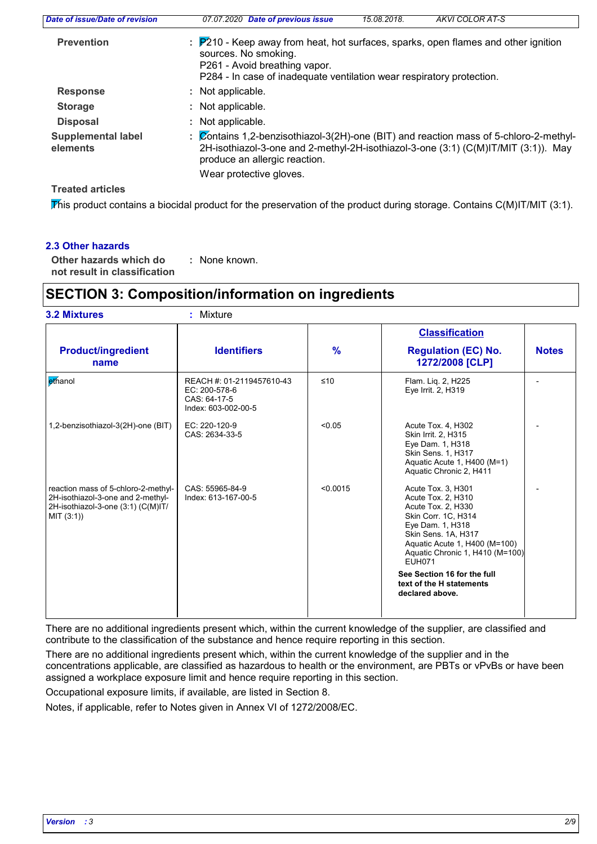| Date of issue/Date of revision        | 07.07.2020 Date of previous issue<br>AKVI COLOR AT-S<br>15.08.2018.                                                                                                                                                       |
|---------------------------------------|---------------------------------------------------------------------------------------------------------------------------------------------------------------------------------------------------------------------------|
| <b>Prevention</b>                     | $\div$ P210 - Keep away from heat, hot surfaces, sparks, open flames and other ignition<br>sources. No smoking.<br>P261 - Avoid breathing vapor.<br>P284 - In case of inadequate ventilation wear respiratory protection. |
| <b>Response</b>                       | : Not applicable.                                                                                                                                                                                                         |
| <b>Storage</b>                        | : Not applicable.                                                                                                                                                                                                         |
| <b>Disposal</b>                       | : Not applicable.                                                                                                                                                                                                         |
| <b>Supplemental label</b><br>elements | : Contains 1,2-benzisothiazol-3(2H)-one (BIT) and reaction mass of 5-chloro-2-methyl-<br>2H-isothiazol-3-one and 2-methyl-2H-isothiazol-3-one (3:1) (C(M)IT/MIT (3:1)). May<br>produce an allergic reaction.              |
|                                       | Wear protective gloves.                                                                                                                                                                                                   |
| <b>Treated articles</b>               |                                                                                                                                                                                                                           |

This product contains a biocidal product for the preservation of the product during storage. Contains C(M)IT/MIT (3:1).

### **2.3 Other hazards**

**Other hazards which do : not result in classification** : None known.

### **SECTION 3: Composition/information on ingredients**

|                                                                                                                              |                                                                                   |               | <b>Classification</b>                                                                                                                                                                                                                                                                               |              |
|------------------------------------------------------------------------------------------------------------------------------|-----------------------------------------------------------------------------------|---------------|-----------------------------------------------------------------------------------------------------------------------------------------------------------------------------------------------------------------------------------------------------------------------------------------------------|--------------|
| <b>Product/ingredient</b><br>name                                                                                            | <b>Identifiers</b>                                                                | $\frac{9}{6}$ | <b>Regulation (EC) No.</b><br>1272/2008 [CLP]                                                                                                                                                                                                                                                       | <b>Notes</b> |
| ethanol                                                                                                                      | REACH #: 01-2119457610-43<br>EC: 200-578-6<br>CAS: 64-17-5<br>Index: 603-002-00-5 | $≤10$         | Flam. Lig. 2, H225<br>Eye Irrit. 2, H319                                                                                                                                                                                                                                                            |              |
| 1,2-benzisothiazol-3(2H)-one (BIT)                                                                                           | EC: 220-120-9<br>CAS: 2634-33-5                                                   | < 0.05        | Acute Tox. 4, H302<br>Skin Irrit. 2, H315<br>Eye Dam. 1, H318<br>Skin Sens. 1, H317<br>Aquatic Acute 1, H400 (M=1)<br>Aquatic Chronic 2, H411                                                                                                                                                       |              |
| reaction mass of 5-chloro-2-methyl-<br>2H-isothiazol-3-one and 2-methyl-<br>2H-isothiazol-3-one (3:1) (C(M)IT/<br>MIT (3:1)) | CAS: 55965-84-9<br>Index: 613-167-00-5                                            | < 0.0015      | Acute Tox. 3, H301<br>Acute Tox. 2, H310<br>Acute Tox. 2, H330<br>Skin Corr. 1C, H314<br>Eye Dam. 1, H318<br>Skin Sens. 1A, H317<br>Aquatic Acute 1, H400 (M=100)<br>Aquatic Chronic 1, H410 (M=100)<br><b>EUH071</b><br>See Section 16 for the full<br>text of the H statements<br>declared above. |              |

There are no additional ingredients present which, within the current knowledge of the supplier, are classified and contribute to the classification of the substance and hence require reporting in this section.

There are no additional ingredients present which, within the current knowledge of the supplier and in the concentrations applicable, are classified as hazardous to health or the environment, are PBTs or vPvBs or have been assigned a workplace exposure limit and hence require reporting in this section.

Occupational exposure limits, if available, are listed in Section 8.

Notes, if applicable, refer to Notes given in Annex VI of 1272/2008/EC.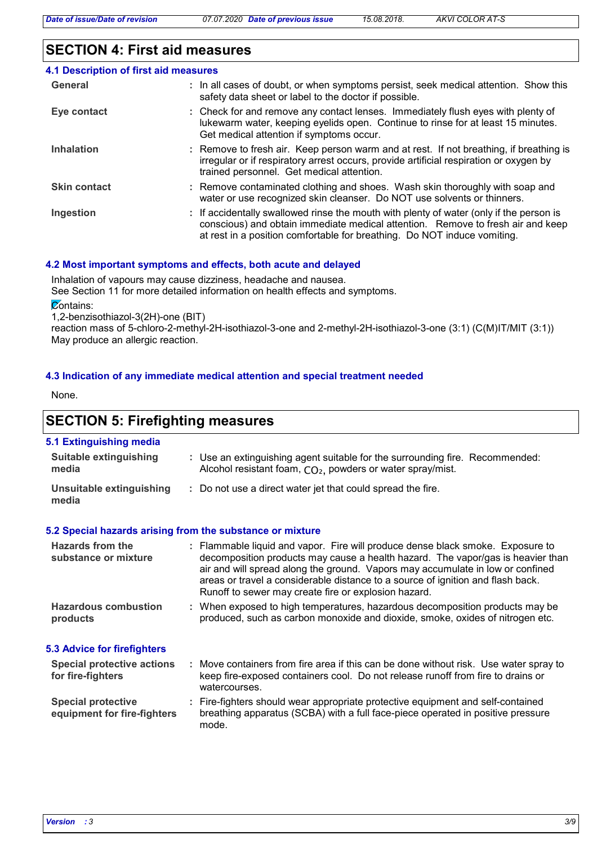# **SECTION 4: First aid measures**

| 4.1 Description of first aid measures |                                                                                                                                                                                                                                                        |
|---------------------------------------|--------------------------------------------------------------------------------------------------------------------------------------------------------------------------------------------------------------------------------------------------------|
| General                               | : In all cases of doubt, or when symptoms persist, seek medical attention. Show this<br>safety data sheet or label to the doctor if possible.                                                                                                          |
| Eye contact                           | : Check for and remove any contact lenses. Immediately flush eyes with plenty of<br>lukewarm water, keeping eyelids open. Continue to rinse for at least 15 minutes.<br>Get medical attention if symptoms occur.                                       |
| <b>Inhalation</b>                     | : Remove to fresh air. Keep person warm and at rest. If not breathing, if breathing is<br>irregular or if respiratory arrest occurs, provide artificial respiration or oxygen by<br>trained personnel. Get medical attention.                          |
| <b>Skin contact</b>                   | : Remove contaminated clothing and shoes. Wash skin thoroughly with soap and<br>water or use recognized skin cleanser. Do NOT use solvents or thinners.                                                                                                |
| Ingestion                             | : If accidentally swallowed rinse the mouth with plenty of water (only if the person is<br>conscious) and obtain immediate medical attention. Remove to fresh air and keep<br>at rest in a position comfortable for breathing. Do NOT induce vomiting. |

### **4.2 Most important symptoms and effects, both acute and delayed**

Inhalation of vapours may cause dizziness, headache and nausea.

See Section 11 for more detailed information on health effects and symptoms.

**Contains:** 

1,2-benzisothiazol-3(2H)-one (BIT)

reaction mass of 5-chloro-2-methyl-2H-isothiazol-3-one and 2-methyl-2H-isothiazol-3-one (3:1) (C(M)IT/MIT (3:1)) May produce an allergic reaction.

### **4.3 Indication of any immediate medical attention and special treatment needed**

None.

# **SECTION 5: Firefighting measures**

### **5.1 Extinguishing media**

| <b>Suitable extinguishing</b><br>media                   | : Use an extinguishing agent suitable for the surrounding fire. Recommended:<br>Alcohol resistant foam, CO <sub>2</sub> , powders or water spray/mist.                                                                                                                                                                                                                                         |
|----------------------------------------------------------|------------------------------------------------------------------------------------------------------------------------------------------------------------------------------------------------------------------------------------------------------------------------------------------------------------------------------------------------------------------------------------------------|
| Unsuitable extinguishing<br>media                        | : Do not use a direct water jet that could spread the fire.                                                                                                                                                                                                                                                                                                                                    |
|                                                          | 5.2 Special hazards arising from the substance or mixture                                                                                                                                                                                                                                                                                                                                      |
| Hazards from the<br>substance or mixture                 | : Flammable liquid and vapor. Fire will produce dense black smoke. Exposure to<br>decomposition products may cause a health hazard. The vapor/gas is heavier than<br>air and will spread along the ground. Vapors may accumulate in low or confined<br>areas or travel a considerable distance to a source of ignition and flash back.<br>Runoff to sewer may create fire or explosion hazard. |
| <b>Hazardous combustion</b><br>products                  | : When exposed to high temperatures, hazardous decomposition products may be<br>produced, such as carbon monoxide and dioxide, smoke, oxides of nitrogen etc.                                                                                                                                                                                                                                  |
| 5.3 Advice for firefighters                              |                                                                                                                                                                                                                                                                                                                                                                                                |
| <b>Special protective actions</b><br>for fire-fighters   | : Move containers from fire area if this can be done without risk. Use water spray to<br>keep fire-exposed containers cool. Do not release runoff from fire to drains or<br>watercourses.                                                                                                                                                                                                      |
| <b>Special protective</b><br>equipment for fire-fighters | : Fire-fighters should wear appropriate protective equipment and self-contained<br>breathing apparatus (SCBA) with a full face-piece operated in positive pressure<br>mode.                                                                                                                                                                                                                    |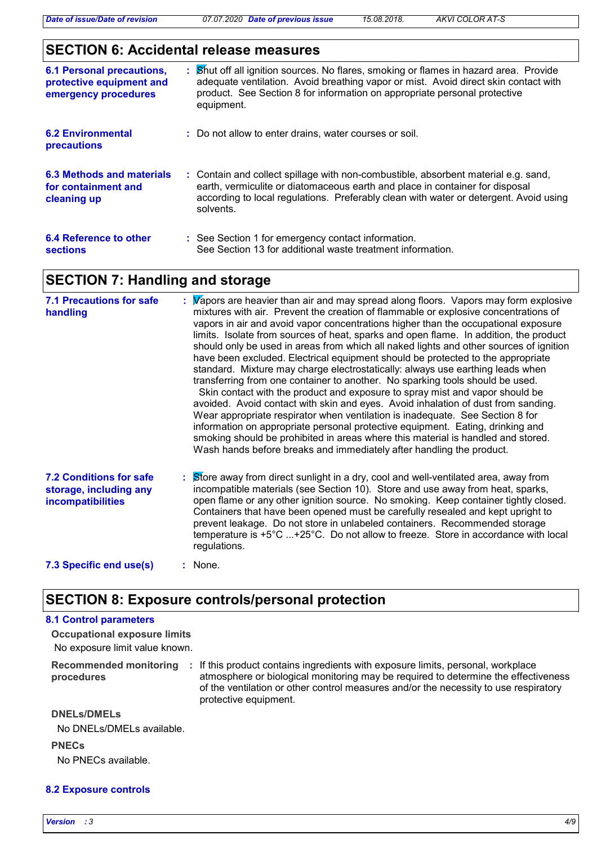### **SECTION 6: Accidental release measures**

| <b>6.1 Personal precautions,</b><br>protective equipment and<br>emergency procedures | : Shut off all ignition sources. No flares, smoking or flames in hazard area. Provide<br>adequate ventilation. Avoid breathing vapor or mist. Avoid direct skin contact with<br>product. See Section 8 for information on appropriate personal protective<br>equipment.  |
|--------------------------------------------------------------------------------------|--------------------------------------------------------------------------------------------------------------------------------------------------------------------------------------------------------------------------------------------------------------------------|
| <b>6.2 Environmental</b><br><b>precautions</b>                                       | : Do not allow to enter drains, water courses or soil.                                                                                                                                                                                                                   |
| 6.3 Methods and materials<br>for containment and<br>cleaning up                      | : Contain and collect spillage with non-combustible, absorbent material e.g. sand,<br>earth, vermiculite or diatomaceous earth and place in container for disposal<br>according to local regulations. Preferably clean with water or detergent. Avoid using<br>solvents. |
| 6.4 Reference to other<br><b>sections</b>                                            | : See Section 1 for emergency contact information.<br>See Section 13 for additional waste treatment information.                                                                                                                                                         |

### **SECTION 7: Handling and storage**

| <b>7.1 Precautions for safe</b><br>handling                                   | : Wapors are heavier than air and may spread along floors. Vapors may form explosive<br>mixtures with air. Prevent the creation of flammable or explosive concentrations of<br>vapors in air and avoid vapor concentrations higher than the occupational exposure<br>limits. Isolate from sources of heat, sparks and open flame. In addition, the product<br>should only be used in areas from which all naked lights and other sources of ignition<br>have been excluded. Electrical equipment should be protected to the appropriate<br>standard. Mixture may charge electrostatically: always use earthing leads when<br>transferring from one container to another. No sparking tools should be used.<br>Skin contact with the product and exposure to spray mist and vapor should be<br>avoided. Avoid contact with skin and eyes. Avoid inhalation of dust from sanding.<br>Wear appropriate respirator when ventilation is inadequate. See Section 8 for<br>information on appropriate personal protective equipment. Eating, drinking and<br>smoking should be prohibited in areas where this material is handled and stored.<br>Wash hands before breaks and immediately after handling the product. |
|-------------------------------------------------------------------------------|----------------------------------------------------------------------------------------------------------------------------------------------------------------------------------------------------------------------------------------------------------------------------------------------------------------------------------------------------------------------------------------------------------------------------------------------------------------------------------------------------------------------------------------------------------------------------------------------------------------------------------------------------------------------------------------------------------------------------------------------------------------------------------------------------------------------------------------------------------------------------------------------------------------------------------------------------------------------------------------------------------------------------------------------------------------------------------------------------------------------------------------------------------------------------------------------------------------|
| <b>7.2 Conditions for safe</b><br>storage, including any<br>incompatibilities | $\frac{1}{2}$ Store away from direct sunlight in a dry, cool and well-ventilated area, away from<br>incompatible materials (see Section 10). Store and use away from heat, sparks,<br>open flame or any other ignition source. No smoking. Keep container tightly closed.<br>Containers that have been opened must be carefully resealed and kept upright to<br>prevent leakage. Do not store in unlabeled containers. Recommended storage<br>temperature is $+5^{\circ}$ C +25°C. Do not allow to freeze. Store in accordance with local<br>regulations.                                                                                                                                                                                                                                                                                                                                                                                                                                                                                                                                                                                                                                                      |
| 7.3 Specific end use(s)                                                       | $:$ None.                                                                                                                                                                                                                                                                                                                                                                                                                                                                                                                                                                                                                                                                                                                                                                                                                                                                                                                                                                                                                                                                                                                                                                                                      |

### **SECTION 8: Exposure controls/personal protection**

### **8.1 Control parameters**

No exposure limit value known. **Occupational exposure limits**

**procedures**

Recommended monitoring : If this product contains ingredients with exposure limits, personal, workplace atmosphere or biological monitoring may be required to determine the effectiveness of the ventilation or other control measures and/or the necessity to use respiratory protective equipment.

#### **DNELs/DMELs**

No DNELs/DMELs available.

#### **PNECs**

No PNECs available.

### **8.2 Exposure controls**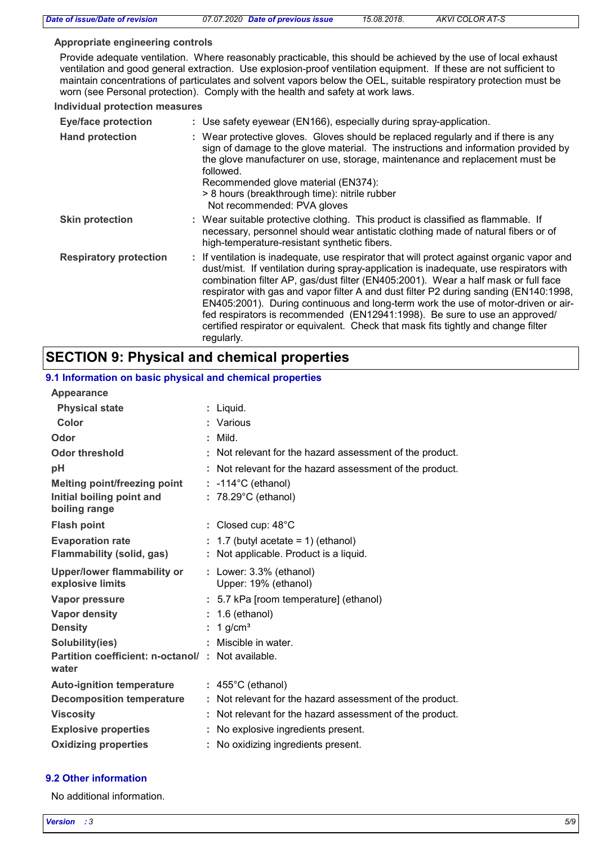#### **Appropriate engineering controls**

Provide adequate ventilation. Where reasonably practicable, this should be achieved by the use of local exhaust ventilation and good general extraction. Use explosion-proof ventilation equipment. If these are not sufficient to maintain concentrations of particulates and solvent vapors below the OEL, suitable respiratory protection must be worn (see Personal protection). Comply with the health and safety at work laws.

#### **Individual protection measures**

| <b>Eye/face protection</b>    | : Use safety eyewear (EN166), especially during spray-application.                                                                                                                                                                                                                                                                                                                                                                                                                                                                                                                                                                         |  |
|-------------------------------|--------------------------------------------------------------------------------------------------------------------------------------------------------------------------------------------------------------------------------------------------------------------------------------------------------------------------------------------------------------------------------------------------------------------------------------------------------------------------------------------------------------------------------------------------------------------------------------------------------------------------------------------|--|
| <b>Hand protection</b>        | : Wear protective gloves. Gloves should be replaced regularly and if there is any<br>sign of damage to the glove material. The instructions and information provided by<br>the glove manufacturer on use, storage, maintenance and replacement must be<br>followed.<br>Recommended glove material (EN374):<br>> 8 hours (breakthrough time): nitrile rubber<br>Not recommended: PVA gloves                                                                                                                                                                                                                                                 |  |
| <b>Skin protection</b>        | : Wear suitable protective clothing. This product is classified as flammable. If<br>necessary, personnel should wear antistatic clothing made of natural fibers or of<br>high-temperature-resistant synthetic fibers.                                                                                                                                                                                                                                                                                                                                                                                                                      |  |
| <b>Respiratory protection</b> | : If ventilation is inadequate, use respirator that will protect against organic vapor and<br>dust/mist. If ventilation during spray-application is inadequate, use respirators with<br>combination filter AP, gas/dust filter (EN405:2001). Wear a half mask or full face<br>respirator with gas and vapor filter A and dust filter P2 during sanding (EN140:1998,<br>EN405:2001). During continuous and long-term work the use of motor-driven or air-<br>fed respirators is recommended (EN12941:1998). Be sure to use an approved/<br>certified respirator or equivalent. Check that mask fits tightly and change filter<br>regularly. |  |

### **SECTION 9: Physical and chemical properties**

#### **Physical state Melting point/freezing point Initial boiling point and boiling range Vapor pressure Density Vapor density Solubility(ies)** Liquid. **:** : 1 g/cm<sup>3</sup> **Odor** : Mild. **pH Color** : Various **Evaporation rate Auto-ignition temperature Flash point**  $\qquad \qquad : \qquad \text{Closed cup: } 48^{\circ} \text{C}$ No explosive ingredients present. **: Partition coefficient: n-octanol/ : Not available.** Not relevant for the hazard assessment of the product. **:** Viscosity **Not relevant for the hazard assessment of the product.** The mode of the product. **Odor threshold Not relevant for the hazard assessment of the product. water Upper/lower flammability or explosive limits Explosive properties :** -114°C (ethanol) **:** 78.29°C (ethanol) **:** 5.7 kPa [room temperature] (ethanol) **:** 1.6 (ethanol) **:** 1.7 (butyl acetate = 1) (ethanol) **:** Miscible in water. **:** 455°C (ethanol) **:** Lower: 3.3% (ethanol) **Oxidizing properties :** No oxidizing ingredients present. **9.1 Information on basic physical and chemical properties Appearance Decomposition temperature :** Not relevant for the hazard assessment of the product. **Flammability (solid, gas) :** Not applicable. Product is a liquid. Upper: 19% (ethanol)

### **9.2 Other information**

No additional information.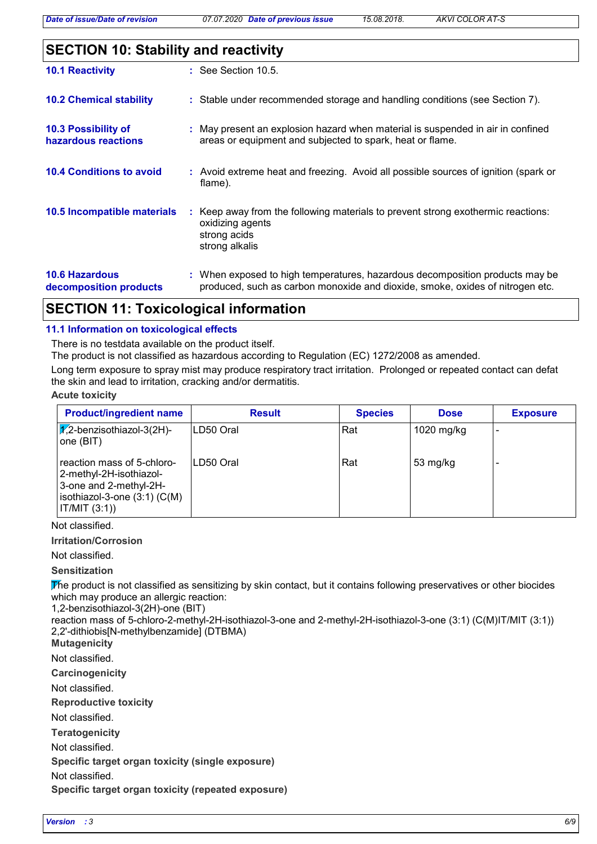|  |  | <b>SECTION 10: Stability and reactivity</b> |  |
|--|--|---------------------------------------------|--|
|--|--|---------------------------------------------|--|

| <b>10.1 Reactivity</b>                          | $:$ See Section 10.5.                                                                                                                                         |
|-------------------------------------------------|---------------------------------------------------------------------------------------------------------------------------------------------------------------|
| <b>10.2 Chemical stability</b>                  | : Stable under recommended storage and handling conditions (see Section 7).                                                                                   |
| 10.3 Possibility of<br>hazardous reactions      | : May present an explosion hazard when material is suspended in air in confined<br>areas or equipment and subjected to spark, heat or flame.                  |
| <b>10.4 Conditions to avoid</b>                 | : Avoid extreme heat and freezing. Avoid all possible sources of ignition (spark or<br>flame).                                                                |
| 10.5 Incompatible materials                     | : Keep away from the following materials to prevent strong exothermic reactions:<br>oxidizing agents<br>strong acids<br>strong alkalis                        |
| <b>10.6 Hazardous</b><br>decomposition products | : When exposed to high temperatures, hazardous decomposition products may be<br>produced, such as carbon monoxide and dioxide, smoke, oxides of nitrogen etc. |

# **SECTION 11: Toxicological information**

### **11.1 Information on toxicological effects**

There is no testdata available on the product itself.

The product is not classified as hazardous according to Regulation (EC) 1272/2008 as amended.

Long term exposure to spray mist may produce respiratory tract irritation. Prolonged or repeated contact can defat the skin and lead to irritation, cracking and/or dermatitis.

#### **Acute toxicity**

| <b>Product/ingredient name</b>                                                                                                            | <b>Result</b> | <b>Species</b> | <b>Dose</b>        | <b>Exposure</b> |
|-------------------------------------------------------------------------------------------------------------------------------------------|---------------|----------------|--------------------|-----------------|
| $\sqrt{1/2}$ -benzisothiazol-3(2H)-<br>one (BIT)                                                                                          | ILD50 Oral    | Rat            | 1020 mg/kg         |                 |
| reaction mass of 5-chloro-<br>2-methyl-2H-isothiazol-<br>3-one and 2-methyl-2H-<br>$isothiazol-3-one(3:1)(C(M))$<br>$\vert$ IT/MIT (3:1)) | ILD50 Oral    | Rat            | $53 \text{ mg/kg}$ |                 |

Not classified.

### **Irritation/Corrosion**

Not classified.

**Sensitization**

The product is not classified as sensitizing by skin contact, but it contains following preservatives or other biocides which may produce an allergic reaction:

1,2-benzisothiazol-3(2H)-one (BIT)

reaction mass of 5-chloro-2-methyl-2H-isothiazol-3-one and 2-methyl-2H-isothiazol-3-one (3:1) (C(M)IT/MIT (3:1)) 2,2'-dithiobis[N-methylbenzamide] (DTBMA)

**Mutagenicity**

Not classified.

**Carcinogenicity**

Not classified.

**Reproductive toxicity**

Not classified.

**Teratogenicity**

Not classified.

**Specific target organ toxicity (single exposure)**

Not classified.

**Specific target organ toxicity (repeated exposure)**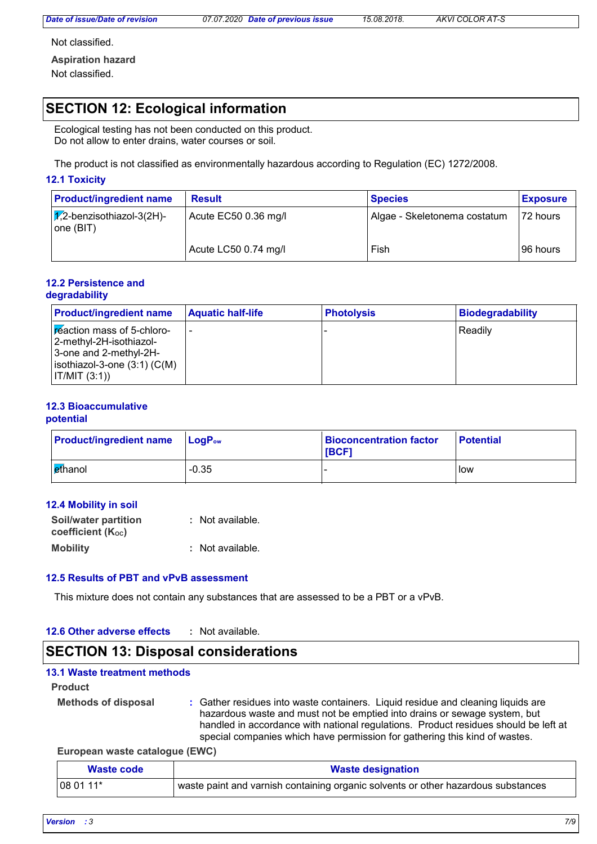Not classified.

**Aspiration hazard**

Not classified.

# **SECTION 12: Ecological information**

Ecological testing has not been conducted on this product. Do not allow to enter drains, water courses or soil.

The product is not classified as environmentally hazardous according to Regulation (EC) 1272/2008.

### **12.1 Toxicity**

| <b>Product/ingredient name</b>                   | <b>Result</b>        | <b>Species</b>               | <b>Exposure</b> |
|--------------------------------------------------|----------------------|------------------------------|-----------------|
| $\sqrt{1/2}$ -benzisothiazol-3(2H)-<br>one (BIT) | Acute EC50 0.36 mg/l | Algae - Skeletonema costatum | $ 72$ hours     |
|                                                  | Acute LC50 0.74 mg/l | Fish                         | 96 hours        |

#### **12.2 Persistence and degradability**

| <b>Product/ingredient name</b>                                                                                                            | <b>Aquatic half-life</b> | <b>Photolysis</b> | <b>Biodegradability</b> |
|-------------------------------------------------------------------------------------------------------------------------------------------|--------------------------|-------------------|-------------------------|
| <b>Exection mass of 5-chloro-</b><br>2-methyl-2H-isothiazol-<br>3-one and 2-methyl-2H-<br>$ isothiazol-3-one(3:1)(C(M)) $<br> IT/MIT(3:1) |                          |                   | Readily                 |

# **12.3 Bioaccumulative**

**potential**

| <b>Product/ingredient name</b> | $LogP_{ow}$ | <b>Bioconcentration factor</b><br><b>IBCF1</b> | <b>Potential</b> |
|--------------------------------|-------------|------------------------------------------------|------------------|
| lethanol                       | $-0.35$     |                                                | low              |

### **12.4 Mobility in soil**

| Soil/water partition           | : Not available. |
|--------------------------------|------------------|
| coefficient (K <sub>oc</sub> ) |                  |
| <b>Mobility</b>                | : Not available. |

### **12.5 Results of PBT and vPvB assessment**

This mixture does not contain any substances that are assessed to be a PBT or a vPvB.

#### **12.6 Other adverse effects :**

### **SECTION 13: Disposal considerations**

### **13.1 Waste treatment methods**

#### **Product**

**Methods of disposal :**

Gather residues into waste containers. Liquid residue and cleaning liquids are hazardous waste and must not be emptied into drains or sewage system, but handled in accordance with national regulations. Product residues should be left at special companies which have permission for gathering this kind of wastes.

### **European waste catalogue (EWC)**

| Waste code | <b>Waste designation</b>                                                          |
|------------|-----------------------------------------------------------------------------------|
| 08 01 11*  | waste paint and varnish containing organic solvents or other hazardous substances |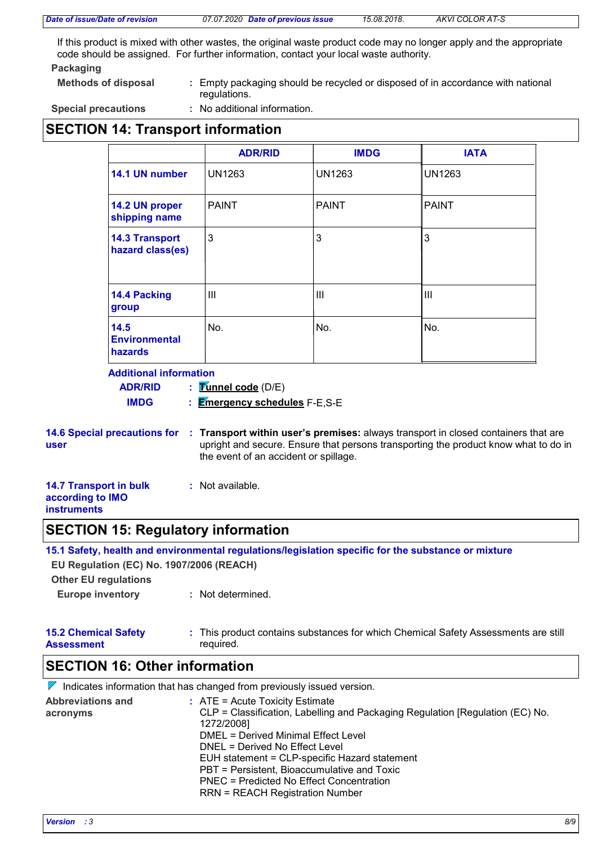|  |  |  | Date of issue/Date of revision |  |  |
|--|--|--|--------------------------------|--|--|
|--|--|--|--------------------------------|--|--|

If this product is mixed with other wastes, the original waste product code may no longer apply and the appropriate code should be assigned. For further information, contact your local waste authority.

#### **Packaging**

- **Methods of disposal :**
	- Empty packaging should be recycled or disposed of in accordance with national regulations.

**Special precautions :**

: No additional information.

## **SECTION 14: Transport information**

|                                                | <b>ADR/RID</b> | <b>IMDG</b>   | <b>IATA</b>   |
|------------------------------------------------|----------------|---------------|---------------|
| 14.1 UN number                                 | <b>UN1263</b>  | <b>UN1263</b> | <b>UN1263</b> |
| 14.2 UN proper<br>shipping name                | <b>PAINT</b>   | <b>PAINT</b>  | <b>PAINT</b>  |
| <b>14.3 Transport</b><br>hazard class(es)      | 3              | 3             | 3             |
| 14.4 Packing<br>group                          | Ш              | III           | III           |
| 14.5<br><b>Environmental</b><br><b>hazards</b> | No.            | No.           | No.           |

### **Additional information**

**Tunnel code** (D/E) **: ADR/RID**

**Emergency schedules** F-E,S-E **IMDG :**

|      | 14.6 Special precautions for : Transport within user's premises: always transport in closed containers that are |
|------|-----------------------------------------------------------------------------------------------------------------|
| user | upright and secure. Ensure that persons transporting the product know what to do in                             |
|      | the event of an accident or spillage.                                                                           |

| <b>14.7 Transport in bulk</b> | : Not available. |
|-------------------------------|------------------|
| according to IMO              |                  |
| <b>instruments</b>            |                  |

## **SECTION 15: Regulatory information**

**15.1 Safety, health and environmental regulations/legislation specific for the substance or mixture**

**EU Regulation (EC) No. 1907/2006 (REACH)**

**Other EU regulations**

**Europe inventory :** Not determined.

| <b>15.2 Chemical Safety</b> | This product contains substances for which Chemical Safety Assessments are still |
|-----------------------------|----------------------------------------------------------------------------------|
| <b>Assessment</b>           | required.                                                                        |

# **SECTION 16: Other information**

|                                      | $\triangleright$ Indicates information that has changed from previously issued version.                                                                                                                                                                                                                                                                                                                  |
|--------------------------------------|----------------------------------------------------------------------------------------------------------------------------------------------------------------------------------------------------------------------------------------------------------------------------------------------------------------------------------------------------------------------------------------------------------|
| <b>Abbreviations and</b><br>acronyms | $\therefore$ ATE = Acute Toxicity Estimate<br>CLP = Classification, Labelling and Packaging Regulation [Regulation (EC) No.<br>1272/2008]<br>DMEL = Derived Minimal Effect Level<br>DNEL = Derived No Effect Level<br>EUH statement = CLP-specific Hazard statement<br>PBT = Persistent, Bioaccumulative and Toxic<br>PNEC = Predicted No Effect Concentration<br><b>RRN = REACH Registration Number</b> |
|                                      |                                                                                                                                                                                                                                                                                                                                                                                                          |